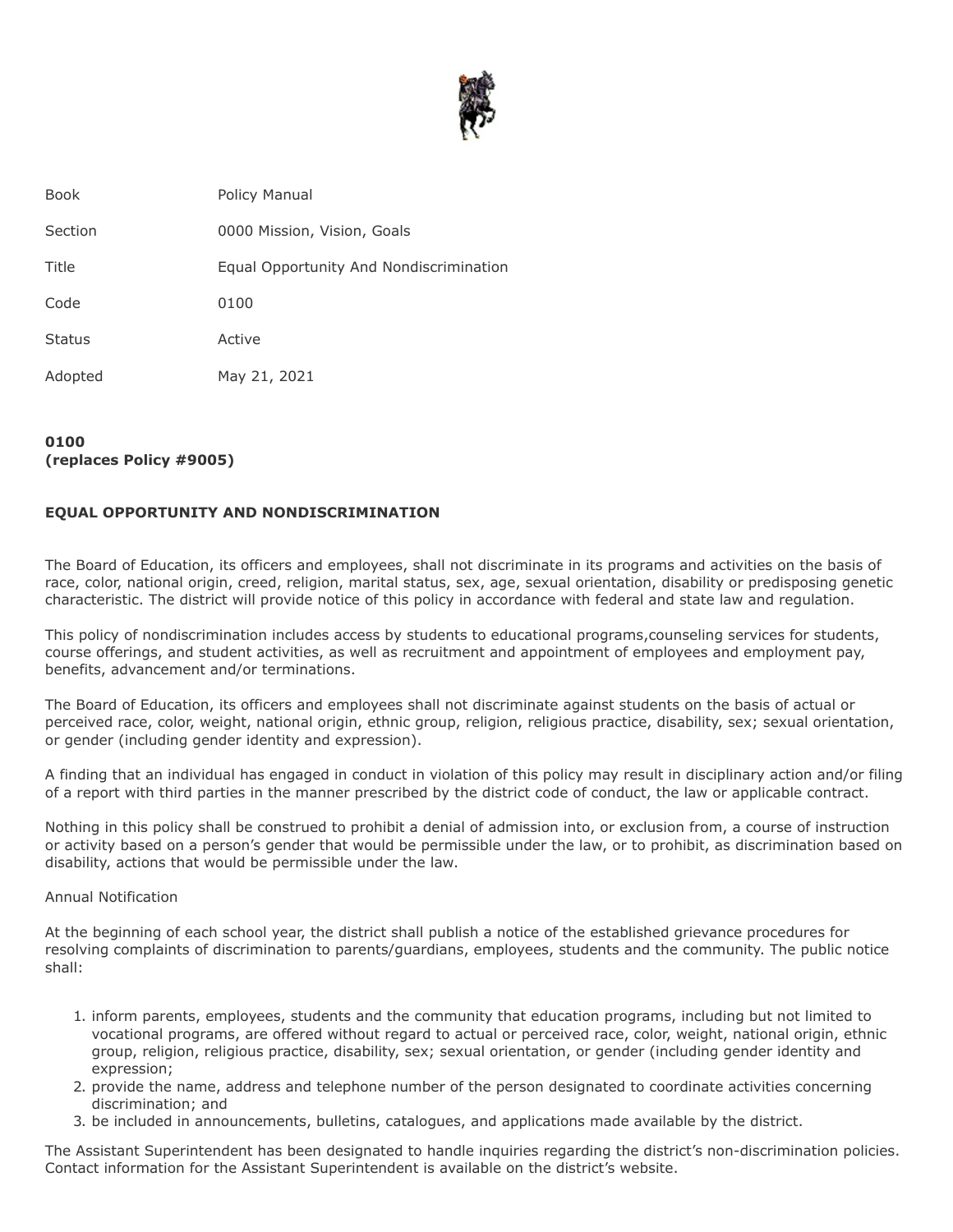

| <b>Book</b>   | Policy Manual                           |
|---------------|-----------------------------------------|
| Section       | 0000 Mission, Vision, Goals             |
| Title         | Equal Opportunity And Nondiscrimination |
| Code          | 0100                                    |
| <b>Status</b> | Active                                  |
| Adopted       | May 21, 2021                            |
|               |                                         |

## **0100 (replaces Policy #9005)**

## **EQUAL OPPORTUNITY AND NONDISCRIMINATION**

The Board of Education, its officers and employees, shall not discriminate in its programs and activities on the basis of race, color, national origin, creed, religion, marital status, sex, age, sexual orientation, disability or predisposing genetic characteristic. The district will provide notice of this policy in accordance with federal and state law and regulation.

This policy of nondiscrimination includes access by students to educational programs,counseling services for students, course offerings, and student activities, as well as recruitment and appointment of employees and employment pay, benefits, advancement and/or terminations.

The Board of Education, its officers and employees shall not discriminate against students on the basis of actual or perceived race, color, weight, national origin, ethnic group, religion, religious practice, disability, sex; sexual orientation, or gender (including gender identity and expression).

A finding that an individual has engaged in conduct in violation of this policy may result in disciplinary action and/or filing of a report with third parties in the manner prescribed by the district code of conduct, the law or applicable contract.

Nothing in this policy shall be construed to prohibit a denial of admission into, or exclusion from, a course of instruction or activity based on a person's gender that would be permissible under the law, or to prohibit, as discrimination based on disability, actions that would be permissible under the law.

## Annual Notification

At the beginning of each school year, the district shall publish a notice of the established grievance procedures for resolving complaints of discrimination to parents/guardians, employees, students and the community. The public notice shall:

- 1. inform parents, employees, students and the community that education programs, including but not limited to vocational programs, are offered without regard to actual or perceived race, color, weight, national origin, ethnic group, religion, religious practice, disability, sex; sexual orientation, or gender (including gender identity and expression;
- 2. provide the name, address and telephone number of the person designated to coordinate activities concerning discrimination; and
- 3. be included in announcements, bulletins, catalogues, and applications made available by the district.

The Assistant Superintendent has been designated to handle inquiries regarding the district's non-discrimination policies. Contact information for the Assistant Superintendent is available on the district's website.